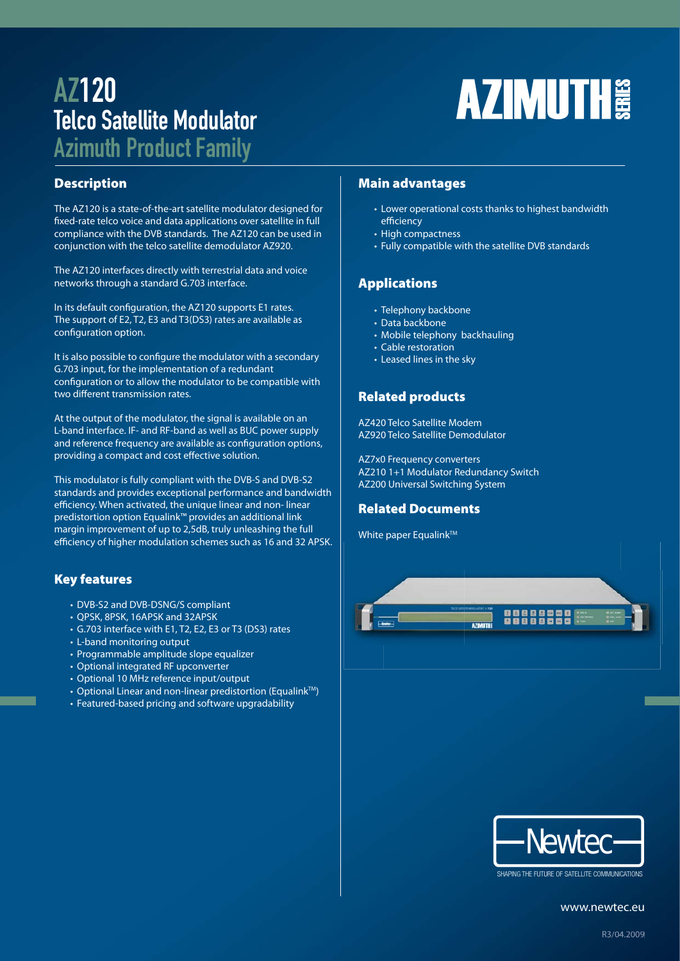## AZ120 Telco Satellite Modulator

# **AZIMUTH**

Azimuth Product Family

#### **Description**

The AZ120 is a state-of-the-art satellite modulator designed for fixed-rate telco voice and data applications over satellite in full compliance with the DVB standards. The AZ120 can be used in conjunction with the telco satellite demodulator AZ920.

The AZ120 interfaces directly with terrestrial data and voice networks through a standard G.703 interface.

In its default configuration, the AZ120 supports E1 rates. The support of E2, T2, E3 and T3(DS3) rates are available as configuration option.

It is also possible to configure the modulator with a secondary G.703 input, for the implementation of a redundant configuration or to allow the modulator to be compatible with two different transmission rates.

At the output of the modulator, the signal is available on an L-band interface. IF- and RF-band as well as BUC power supply and reference frequency are available as configuration options, providing a compact and cost effective solution.

This modulator is fully compliant with the DVB-S and DVB-S2 standards and provides exceptional performance and bandwidth efficiency. When activated, the unique linear and non-linear predistortion option Equalink™ provides an additional link margin improvement of up to 2,5dB, truly unleashing the full efficiency of higher modulation schemes such as 16 and 32 APSK.

#### **Key features**

- DVB-S2 and DVB-DSNG/S compliant
- QPSK, 8PSK, 16APSK and 32APSK
- G.703 interface with E1, T2, E2, E3 or T3 (DS3) rates
- L-band monitoring output
- Programmable amplitude slope equalizer
- Optional integrated RF upconverter
- Optional 10 MHz reference input/output
- Optional Linear and non-linear predistortion (Equalink™)
- Featured-based pricing and software upgradability

#### **Main advantages**

- Lower operational costs thanks to highest bandwidth efficiency
- High compactness
- Fully compatible with the satellite DVB standards

#### **Applications**

- Telephony backbone
- Data backbone
- Mobile telephony backhauling
- Cable restoration
- Leased lines in the sky

#### **Related products**

AZ420 Telco Satellite Modem AZ920 Telco Satellite Demodulator

AZ7x0 Frequency converters AZ210 1+1 Modulator Redundancy Switch AZ200 Universal Switching System

#### **Related Documents**

White paper Equalink™





SHAPING THE FUTURE OF SATELLITE COMMUNICATIONS

www.newtec.eu